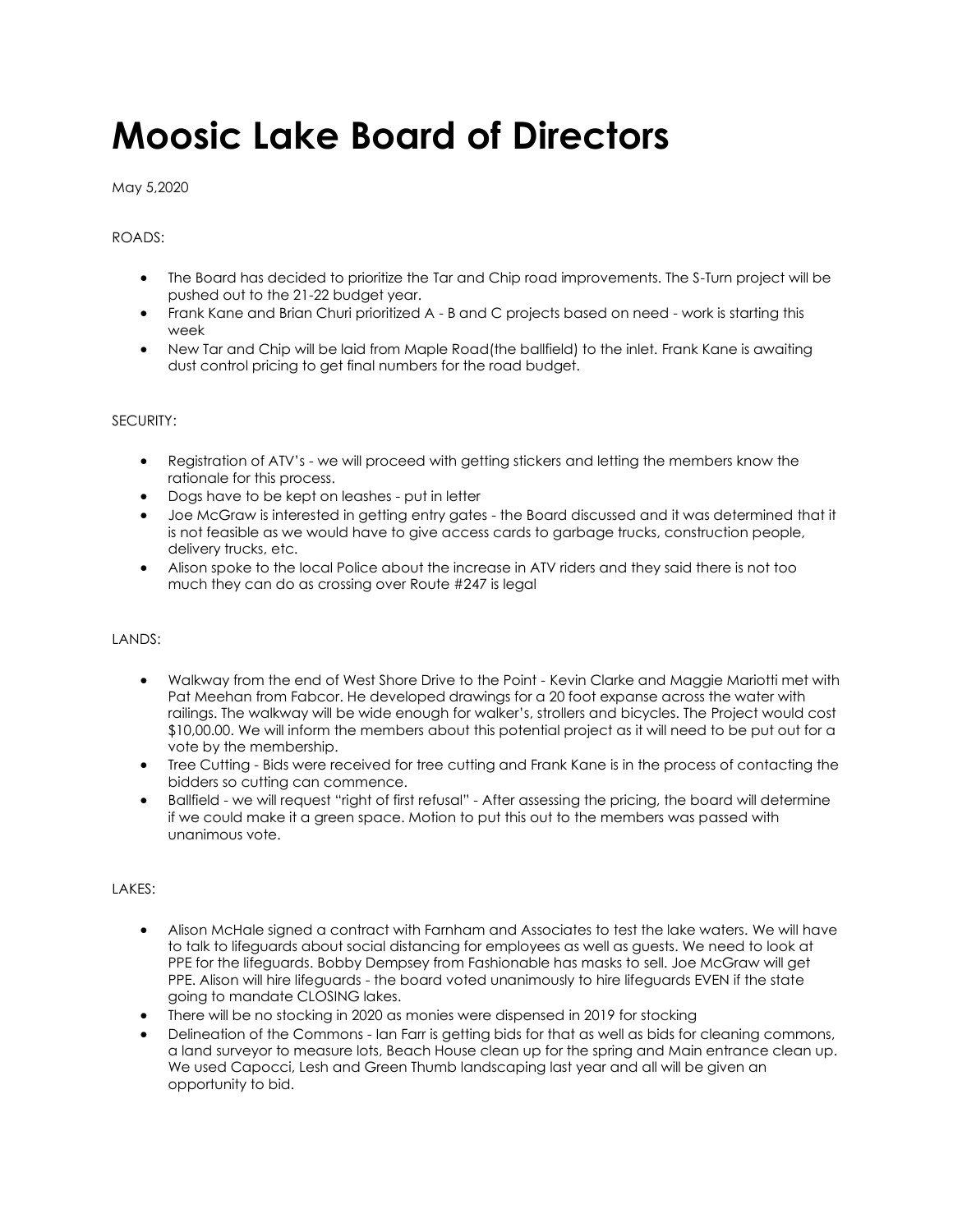# **Moosic Lake Board of Directors**

May 5,2020

# ROADS:

- The Board has decided to prioritize the Tar and Chip road improvements. The S-Turn project will be pushed out to the 21-22 budget year.
- Frank Kane and Brian Churi prioritized A B and C projects based on need work is starting this week
- New Tar and Chip will be laid from Maple Road(the ballfield) to the inlet. Frank Kane is awaiting dust control pricing to get final numbers for the road budget.

#### SECURITY:

- Registration of ATV's we will proceed with getting stickers and letting the members know the rationale for this process.
- Dogs have to be kept on leashes put in letter
- Joe McGraw is interested in getting entry gates the Board discussed and it was determined that it is not feasible as we would have to give access cards to garbage trucks, construction people, delivery trucks, etc.
- Alison spoke to the local Police about the increase in ATV riders and they said there is not too much they can do as crossing over Route #247 is legal

# LANDS:

- Walkway from the end of West Shore Drive to the Point Kevin Clarke and Maggie Mariotti met with Pat Meehan from Fabcor. He developed drawings for a 20 foot expanse across the water with railings. The walkway will be wide enough for walker's, strollers and bicycles. The Project would cost \$10,00.00. We will inform the members about this potential project as it will need to be put out for a vote by the membership.
- Tree Cutting Bids were received for tree cutting and Frank Kane is in the process of contacting the bidders so cutting can commence.
- Ballfield we will request "right of first refusal" After assessing the pricing, the board will determine if we could make it a green space. Motion to put this out to the members was passed with unanimous vote.

# LAKES:

- Alison McHale signed a contract with Farnham and Associates to test the lake waters. We will have to talk to lifeguards about social distancing for employees as well as guests. We need to look at PPE for the lifeguards. Bobby Dempsey from Fashionable has masks to sell. Joe McGraw will get PPE. Alison will hire lifeguards - the board voted unanimously to hire lifeguards EVEN if the state going to mandate CLOSING lakes.
- There will be no stocking in 2020 as monies were dispensed in 2019 for stocking
- Delineation of the Commons Ian Farr is getting bids for that as well as bids for cleaning commons, a land surveyor to measure lots, Beach House clean up for the spring and Main entrance clean up. We used Capocci, Lesh and Green Thumb landscaping last year and all will be given an opportunity to bid.